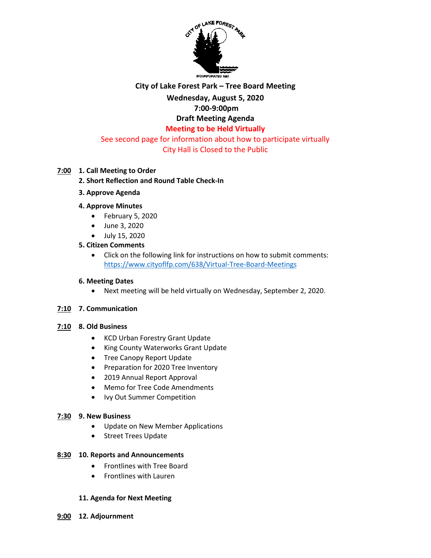

# **City of Lake Forest Park – Tree Board Meeting**

# **Wednesday, August 5, 2020**

# **7:00-9:00pm**

# **Draft Meeting Agenda**

# **Meeting to be Held Virtually**

#### See second page for information about how to participate virtually City Hall is Closed to the Public

### **7:00 1. Call Meeting to Order**

### **2. Short Reflection and Round Table Check-In**

**3. Approve Agenda**

#### **4. Approve Minutes**

- February 5, 2020
- June 3, 2020
- July 15, 2020

### **5. Citizen Comments**

 Click on the following link for instructions on how to submit comments: <https://www.cityoflfp.com/638/Virtual-Tree-Board-Meetings>

#### **6. Meeting Dates**

Next meeting will be held virtually on Wednesday, September 2, 2020.

### **7:10 7. Communication**

#### **7:10 8. Old Business**

- KCD Urban Forestry Grant Update
- King County Waterworks Grant Update
- Tree Canopy Report Update
- Preparation for 2020 Tree Inventory
- 2019 Annual Report Approval
- Memo for Tree Code Amendments
- Ivy Out Summer Competition

#### **7:30 9. New Business**

- Update on New Member Applications
- Street Trees Update

#### **8:30 10. Reports and Announcements**

- Frontlines with Tree Board
- Frontlines with Lauren

#### **11. Agenda for Next Meeting**

**9:00 12. Adjournment**